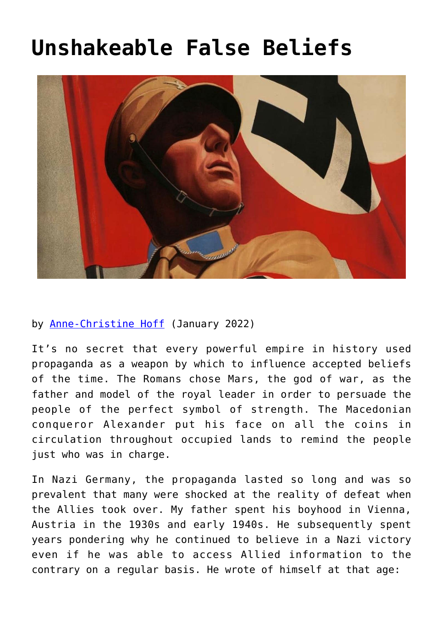## **[Unshakeable False Beliefs](https://www.newenglishreview.org/articles/unshakeable-false-beliefs/)**



## by [Anne-Christine Hoff](https://www.newenglishreview.org/authors/anne-christine-hoff/?) (January 2022)

It's no secret that every powerful empire in history used propaganda as a weapon by which to influence accepted beliefs of the time. The Romans chose Mars, the god of war, as the father and model of the royal leader in order to persuade the people of the perfect symbol of strength. The Macedonian conqueror Alexander put his face on all the coins in circulation throughout occupied lands to remind the people just who was in charge.

In Nazi Germany, the propaganda lasted so long and was so prevalent that many were shocked at the reality of defeat when the Allies took over. My father spent his boyhood in Vienna, Austria in the 1930s and early 1940s. He subsequently spent years pondering why he continued to believe in a Nazi victory even if he was able to access Allied information to the contrary on a regular basis. He wrote of himself at that age: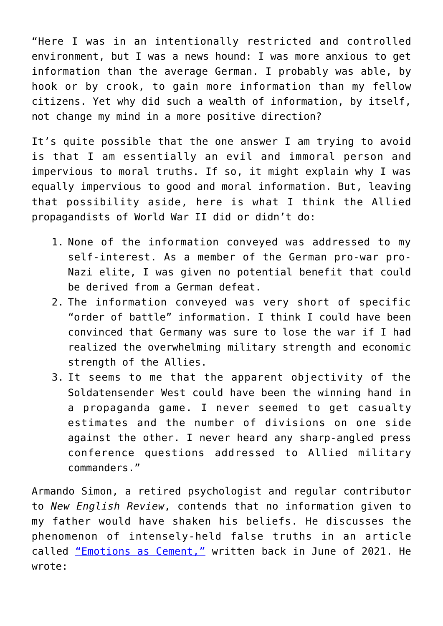"Here I was in an intentionally restricted and controlled environment, but I was a news hound: I was more anxious to get information than the average German. I probably was able, by hook or by crook, to gain more information than my fellow citizens. Yet why did such a wealth of information, by itself, not change my mind in a more positive direction?

It's quite possible that the one answer I am trying to avoid is that I am essentially an evil and immoral person and impervious to moral truths. If so, it might explain why I was equally impervious to good and moral information. But, leaving that possibility aside, here is what I think the Allied propagandists of World War II did or didn't do:

- 1. None of the information conveyed was addressed to my self-interest. As a member of the German pro-war pro-Nazi elite, I was given no potential benefit that could be derived from a German defeat.
- 2. The information conveyed was very short of specific "order of battle" information. I think I could have been convinced that Germany was sure to lose the war if I had realized the overwhelming military strength and economic strength of the Allies.
- 3. It seems to me that the apparent objectivity of the Soldatensender West could have been the winning hand in a propaganda game. I never seemed to get casualty estimates and the number of divisions on one side against the other. I never heard any sharp-angled press conference questions addressed to Allied military commanders."

Armando Simon, a retired psychologist and regular contributor to *New English Review*, contends that no information given to my father would have shaken his beliefs. He discusses the phenomenon of intensely-held false truths in an article called ["Emotions as Cement,"](https://www.newenglishreview.org/custpage.cfm?frm=190683&sec_id=190683) written back in June of 2021. He wrote: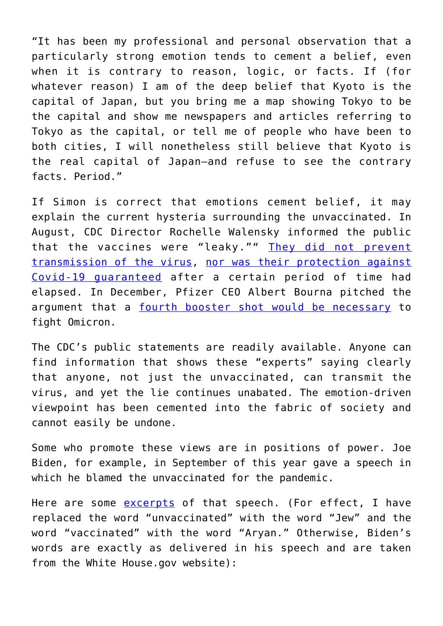"It has been my professional and personal observation that a particularly strong emotion tends to cement a belief, even when it is contrary to reason, logic, or facts. If (for whatever reason) I am of the deep belief that Kyoto is the capital of Japan, but you bring me a map showing Tokyo to be the capital and show me newspapers and articles referring to Tokyo as the capital, or tell me of people who have been to both cities, I will nonetheless still believe that Kyoto is the real capital of Japan—and refuse to see the contrary facts. Period."

If Simon is correct that emotions cement belief, it may explain the current hysteria surrounding the unvaccinated. In August, CDC Director Rochelle Walensky informed the public that the vaccines were "leaky."" [They did not prevent](https://www.realclearpolitics.com/video/2021/08/06/cdc_director_vaccines_no_longer_prevent_you_from_spreading_covid.html#!) [transmission of the virus](https://www.realclearpolitics.com/video/2021/08/06/cdc_director_vaccines_no_longer_prevent_you_from_spreading_covid.html#!), [nor was their protection against](https://www.cnbc.com/2021/08/19/cdc-director-says-we-might-not-need-annual-covid-boosters-after-third-shot.html) [Covid-19 guaranteed](https://www.cnbc.com/2021/08/19/cdc-director-says-we-might-not-need-annual-covid-boosters-after-third-shot.html) after a certain period of time had elapsed. In December, Pfizer CEO Albert Bourna pitched the argument that a [fourth booster shot would be necessary](https://www.cnbc.com/2021/12/08/omicron-pfizer-ceo-says-we-may-need-fourth-covid-vaccine-doses-sooner-than-expected.html) to fight Omicron.

The CDC's public statements are readily available. Anyone can find information that shows these "experts" saying clearly that anyone, not just the unvaccinated, can transmit the virus, and yet the lie continues unabated. The emotion-driven viewpoint has been cemented into the fabric of society and cannot easily be undone.

Some who promote these views are in positions of power. Joe Biden, for example, in September of this year gave a speech in which he blamed the unvaccinated for the pandemic.

Here are some [excerpts](https://www.whitehouse.gov/briefing-room/speeches-remarks/2021/09/09/remarks-by-president-biden-on-fighting-the-covid-19-pandemic-3/) of that speech. (For effect, I have replaced the word "unvaccinated" with the word "Jew" and the word "vaccinated" with the word "Aryan." Otherwise, Biden's words are exactly as delivered in his speech and are taken from the White House.gov website):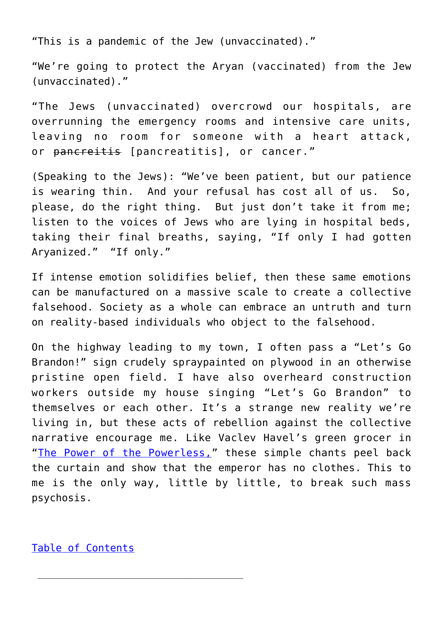"This is a pandemic of the Jew (unvaccinated)."

"We're going to protect the Aryan (vaccinated) from the Jew (unvaccinated)."

"The Jews (unvaccinated) overcrowd our hospitals, are overrunning the emergency rooms and intensive care units, leaving no room for someone with a heart attack, or pancreitis [pancreatitis], or cancer."

(Speaking to the Jews): "We've been patient, but our patience is wearing thin. And your refusal has cost all of us. So, please, do the right thing. But just don't take it from me; listen to the voices of Jews who are lying in hospital beds, taking their final breaths, saying, "If only I had gotten Aryanized." "If only."

If intense emotion solidifies belief, then these same emotions can be manufactured on a massive scale to create a collective falsehood. Society as a whole can embrace an untruth and turn on reality-based individuals who object to the falsehood.

On the highway leading to my town, I often pass a "Let's Go Brandon!" sign crudely spraypainted on plywood in an otherwise pristine open field. I have also overheard construction workers outside my house singing "Let's Go Brandon" to themselves or each other. It's a strange new reality we're living in, but these acts of rebellion against the collective narrative encourage me. Like Vaclev Havel's green grocer in "[The Power of the Powerless,"](https://hac.bard.edu/amor-mundi/the-power-of-the-powerless-vaclav-havel-2011-12-23) these simple chants peel back the curtain and show that the emperor has no clothes. This to me is the only way, little by little, to break such mass psychosis.

[Table of Contents](https://www.newenglishreview.org/)

 $\overline{\phantom{a}}$  ,  $\overline{\phantom{a}}$  ,  $\overline{\phantom{a}}$  ,  $\overline{\phantom{a}}$  ,  $\overline{\phantom{a}}$  ,  $\overline{\phantom{a}}$  ,  $\overline{\phantom{a}}$  ,  $\overline{\phantom{a}}$  ,  $\overline{\phantom{a}}$  ,  $\overline{\phantom{a}}$  ,  $\overline{\phantom{a}}$  ,  $\overline{\phantom{a}}$  ,  $\overline{\phantom{a}}$  ,  $\overline{\phantom{a}}$  ,  $\overline{\phantom{a}}$  ,  $\overline{\phantom{a}}$